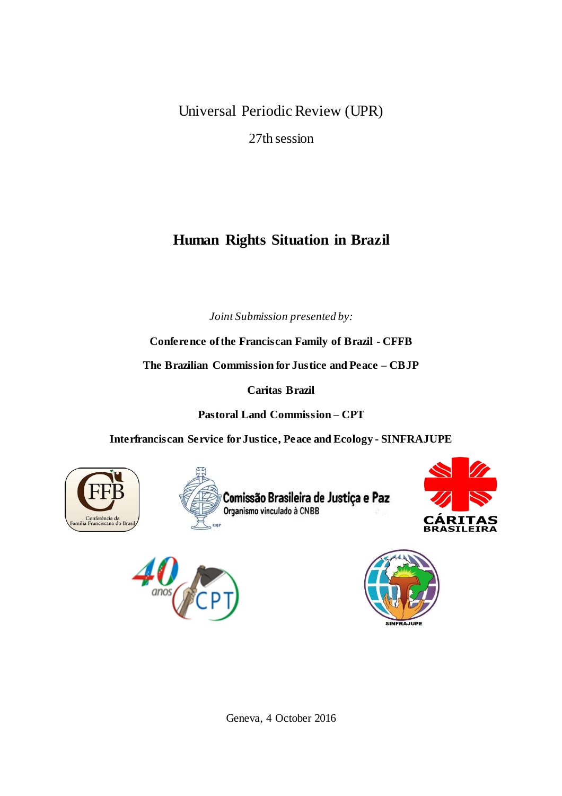Universal Periodic Review (UPR)

27th session

# **Human Rights Situation in Brazil**

*Joint Submission presented by:*

**Conference ofthe Franciscan Family of Brazil - CFFB**

**The Brazilian Commission for Justice and Peace – CBJP**

**Caritas Brazil**

**Pastoral Land Commission – CPT**

**Interfranciscan Service for Justice, Peace and Ecology - SINFRAJUPE**











Geneva, 4 October 2016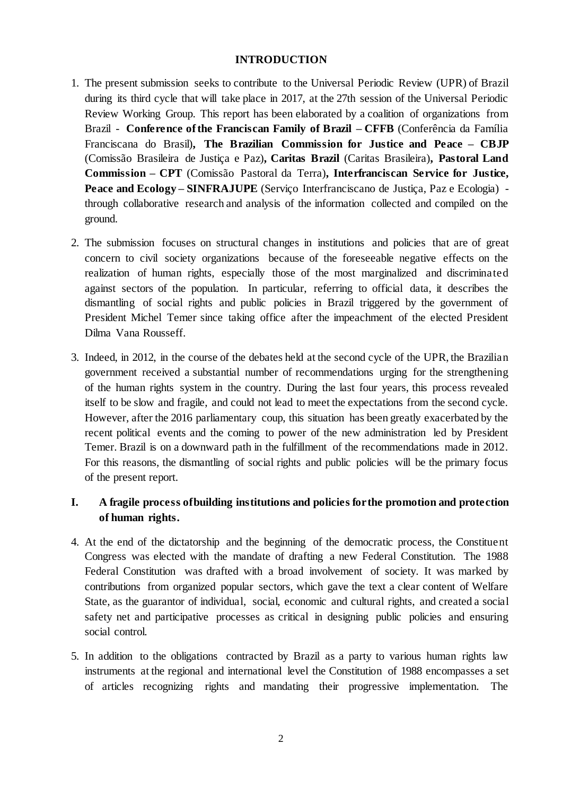#### **INTRODUCTION**

- 1. The present submission seeks to contribute to the Universal Periodic Review (UPR) of Brazil during its third cycle that will take place in 2017, at the 27th session of the Universal Periodic Review Working Group. This report has been elaborated by a coalition of organizations from Brazil - **Conference ofthe Franciscan Family of Brazil – CFFB** (Conferência da Família Franciscana do Brasil)**, The Brazilian Commission for Justice and Peace – CBJP** (Comissão Brasileira de Justiça e Paz)**, Caritas Brazil** (Caritas Brasileira)**, Pastoral Land Commission – CPT** (Comissão Pastoral da Terra)**, Interfranciscan Service for Justice, Peace and Ecology – SINFRAJUPE** (Serviço Interfranciscano de Justiça, Paz e Ecologia) through collaborative research and analysis of the information collected and compiled on the ground.
- 2. The submission focuses on structural changes in institutions and policies that are of great concern to civil society organizations because of the foreseeable negative effects on the realization of human rights, especially those of the most marginalized and discriminated against sectors of the population. In particular, referring to official data, it describes the dismantling of social rights and public policies in Brazil triggered by the government of President Michel Temer since taking office after the impeachment of the elected President Dilma Vana Rousseff.
- 3. Indeed, in 2012, in the course of the debates held at the second cycle of the UPR, the Brazilian government received a substantial number of recommendations urging for the strengthening of the human rights system in the country. During the last four years, this process revealed itself to be slow and fragile, and could not lead to meet the expectations from the second cycle. However, after the 2016 parliamentary coup, this situation has been greatly exacerbated by the recent political events and the coming to power of the new administration led by President Temer. Brazil is on a downward path in the fulfillment of the recommendations made in 2012. For this reasons, the dismantling of social rights and public policies will be the primary focus of the present report.

# **I. A fragile process ofbuilding institutions and policies forthe promotion and protection of human rights.**

- 4. At the end of the dictatorship and the beginning of the democratic process, the Constituent Congress was elected with the mandate of drafting a new Federal Constitution. The 1988 Federal Constitution was drafted with a broad involvement of society. It was marked by contributions from organized popular sectors, which gave the text a clear content of Welfare State, as the guarantor of individual, social, economic and cultural rights, and created a social safety net and participative processes as critical in designing public policies and ensuring social control.
- 5. In addition to the obligations contracted by Brazil as a party to various human rights law instruments at the regional and international level the Constitution of 1988 encompasses a set of articles recognizing rights and mandating their progressive implementation. The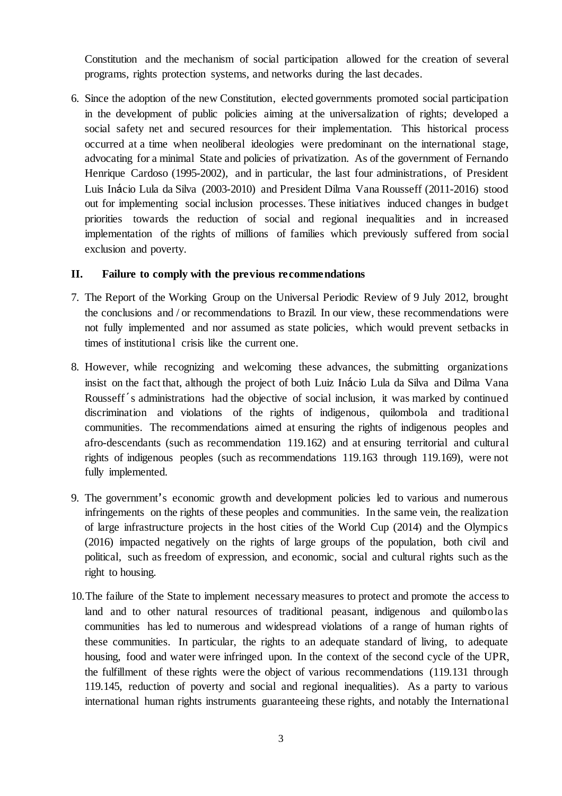Constitution and the mechanism of social participation allowed for the creation of several programs, rights protection systems, and networks during the last decades.

6. Since the adoption of the new Constitution, elected governments promoted social participation in the development of public policies aiming at the universalization of rights; developed a social safety net and secured resources for their implementation. This historical process occurred at a time when neoliberal ideologies were predominant on the international stage, advocating for a minimal State and policies of privatization. As of the government of Fernando Henrique Cardoso (1995-2002), and in particular, the last four administrations, of President Luis Inácio Lula da Silva (2003-2010) and President Dilma Vana Rousseff (2011-2016) stood out for implementing social inclusion processes. These initiatives induced changes in budget priorities towards the reduction of social and regional inequalities and in increased implementation of the rights of millions of families which previously suffered from social exclusion and poverty.

#### **II. Failure to comply with the previous recommendations**

- 7. The Report of the Working Group on the Universal Periodic Review of 9 July 2012, brought the conclusions and / or recommendations to Brazil. In our view, these recommendations were not fully implemented and nor assumed as state policies, which would prevent setbacks in times of institutional crisis like the current one.
- 8. However, while recognizing and welcoming these advances, the submitting organizations insist on the fact that, although the project of both Luiz Inácio Lula da Silva and Dilma Vana Rousseff´s administrations had the objective of social inclusion, it was marked by continued discrimination and violations of the rights of indigenous, quilombola and traditional communities. The recommendations aimed at ensuring the rights of indigenous peoples and afro-descendants (such as recommendation 119.162) and at ensuring territorial and cultural rights of indigenous peoples (such as recommendations 119.163 through 119.169), were not fully implemented.
- 9. The government's economic growth and development policies led to various and numerous infringements on the rights of these peoples and communities. In the same vein, the realization of large infrastructure projects in the host cities of the World Cup (2014) and the Olympics (2016) impacted negatively on the rights of large groups of the population, both civil and political, such as freedom of expression, and economic, social and cultural rights such as the right to housing.
- 10.The failure of the State to implement necessary measures to protect and promote the access to land and to other natural resources of traditional peasant, indigenous and quilombolas communities has led to numerous and widespread violations of a range of human rights of these communities. In particular, the rights to an adequate standard of living, to adequate housing, food and water were infringed upon. In the context of the second cycle of the UPR, the fulfillment of these rights were the object of various recommendations (119.131 through 119.145, reduction of poverty and social and regional inequalities). As a party to various international human rights instruments guaranteeing these rights, and notably the International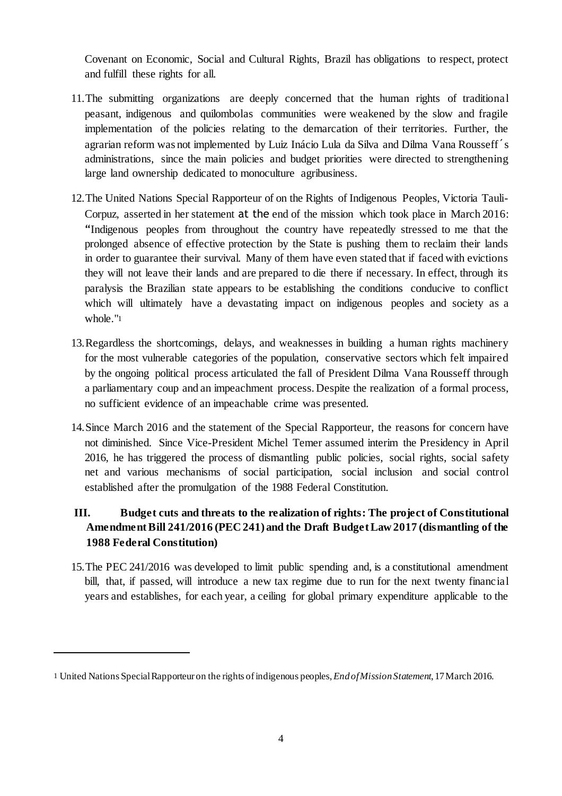Covenant on Economic, Social and Cultural Rights, Brazil has obligations to respect, protect and fulfill these rights for all.

- 11.The submitting organizations are deeply concerned that the human rights of traditional peasant, indigenous and quilombolas communities were weakened by the slow and fragile implementation of the policies relating to the demarcation of their territories. Further, the agrarian reform was not implemented by Luiz Inácio Lula da Silva and Dilma Vana Rousseff´s administrations, since the main policies and budget priorities were directed to strengthening large land ownership dedicated to monoculture agribusiness.
- 12.The United Nations Special Rapporteur of on the Rights of Indigenous Peoples, Victoria Tauli-Corpuz, asserted in her statement at the end of the mission which took place in March 2016: "Indigenous peoples from throughout the country have repeatedly stressed to me that the prolonged absence of effective protection by the State is pushing them to reclaim their lands in order to guarantee their survival. Many of them have even stated that if faced with evictions they will not leave their lands and are prepared to die there if necessary. In effect, through its paralysis the Brazilian state appears to be establishing the conditions conducive to conflict which will ultimately have a devastating impact on indigenous peoples and society as a whole."<sup>1</sup>
- 13.Regardless the shortcomings, delays, and weaknesses in building a human rights machinery for the most vulnerable categories of the population, conservative sectors which felt impaired by the ongoing political process articulated the fall of President Dilma Vana Rousseff through a parliamentary coup and an impeachment process. Despite the realization of a formal process, no sufficient evidence of an impeachable crime was presented.
- 14.Since March 2016 and the statement of the Special Rapporteur, the reasons for concern have not diminished. Since Vice-President Michel Temer assumed interim the Presidency in April 2016, he has triggered the process of dismantling public policies, social rights, social safety net and various mechanisms of social participation, social inclusion and social control established after the promulgation of the 1988 Federal Constitution.

# **III. Budget cuts and threats to the realization of rights: The project of Constitutional AmendmentBill 241/2016 (PEC 241) and the Draft BudgetLaw 2017 (dismantling of the 1988 Federal Constitution)**

15.The PEC 241/2016 was developed to limit public spending and, is a constitutional amendment bill, that, if passed, will introduce a new tax regime due to run for the next twenty financial years and establishes, for each year, a ceiling for global primary expenditure applicable to the

<sup>1</sup> United Nations SpecialRapporteur on the rights ofindigenous peoples,*EndofMissionStatement*, 17March 2016.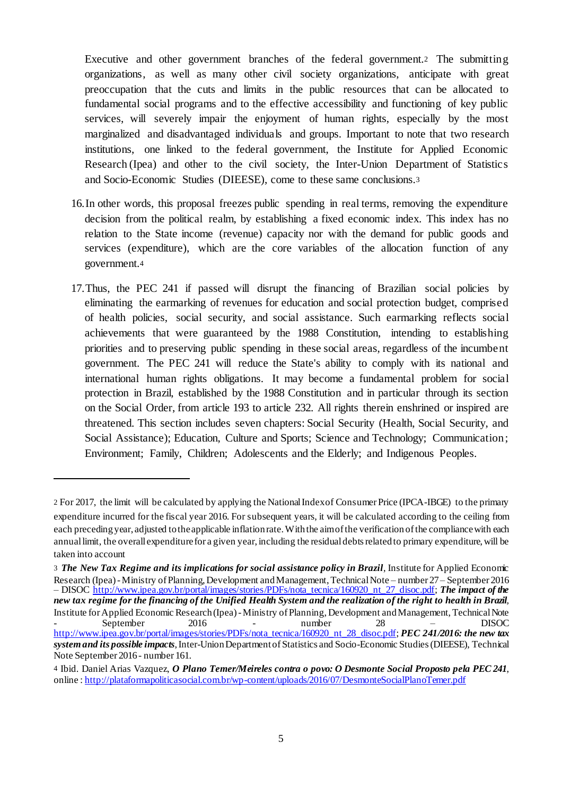Executive and other government branches of the federal government.<sup>2</sup> The submitting organizations, as well as many other civil society organizations, anticipate with great preoccupation that the cuts and limits in the public resources that can be allocated to fundamental social programs and to the effective accessibility and functioning of key public services, will severely impair the enjoyment of human rights, especially by the most marginalized and disadvantaged individuals and groups. Important to note that two research institutions, one linked to the federal government, the Institute for Applied Economic Research (Ipea) and other to the civil society, the Inter-Union Department of Statistics and Socio-Economic Studies (DIEESE), come to these same conclusions.<sup>3</sup>

- 16.In other words, this proposal freezes public spending in real terms, removing the expenditure decision from the political realm, by establishing a fixed economic index. This index has no relation to the State income (revenue) capacity nor with the demand for public goods and services (expenditure), which are the core variables of the allocation function of any government.<sup>4</sup>
- 17.Thus, the PEC 241 if passed will disrupt the financing of Brazilian social policies by eliminating the earmarking of revenues for education and social protection budget, comprised of health policies, social security, and social assistance. Such earmarking reflects social achievements that were guaranteed by the 1988 Constitution, intending to establishing priorities and to preserving public spending in these social areas, regardless of the incumbent government. The PEC 241 will reduce the State's ability to comply with its national and international human rights obligations. It may become a fundamental problem for social protection in Brazil, established by the 1988 Constitution and in particular through its section on the Social Order, from article 193 to article 232. All rights therein enshrined or inspired are threatened. This section includes seven chapters: Social Security (Health, Social Security, and Social Assistance); Education, Culture and Sports; Science and Technology; Communication; Environment; Family, Children; Adolescents and the Elderly; and Indigenous Peoples.

<sup>2</sup> For 2017, the limit will be calculated by applying the NationalIndexof Consumer Price (IPCA-IBGE) to the primary expenditure incurred for the fiscal year 2016. For subsequent years, it will be calculated according to the ceiling from each preceding year, adjusted to the applicable inflation rate. With the aimof the verification of the compliance with each annuallimit, the overall expenditurefor a given year, including the residualdebtsrelatedto primary expenditure,will be taken into account

<sup>3</sup> *The New Tax Regime and its implications for social assistance policy in Brazil*, Institute for Applied Economic Research (Ipea) - Ministry of Planning, Development and Management, Technical Note – number 27 – September 2016 – DISOC http://www.ipea.gov.br/portal/images/stories/PDFs/nota\_tecnica/160920\_nt\_27\_disoc.pdf; *The impact of the* new tax regime for the financing of the Unified Health System and the realization of the right to health in Brazil, Institute for Applied Economic Research (Ipea) - Ministry of Planning, Development and Management, Technical Note - September 2016 - number 28 – DISOC http://www.ipea.gov.br/portal/images/stories/PDFs/nota\_tecnica/160920\_nt\_28\_disoc.pdf; *PEC 241/2016: the new tax systemand its possible impacts*,Inter-UnionDepartmentofStatistics and Socio-Economic Studies(DIEESE), Technical Note September 2016- number 161.

<sup>4</sup> Ibid. Daniel Arias Vazquez, *O Plano Temer/Meireles contra o povo: O Desmonte Social Proposto pela PEC 241*, online : http://plataformapoliticasocial.com.br/wp-content/uploads/2016/07/DesmonteSocialPlanoTemer.pdf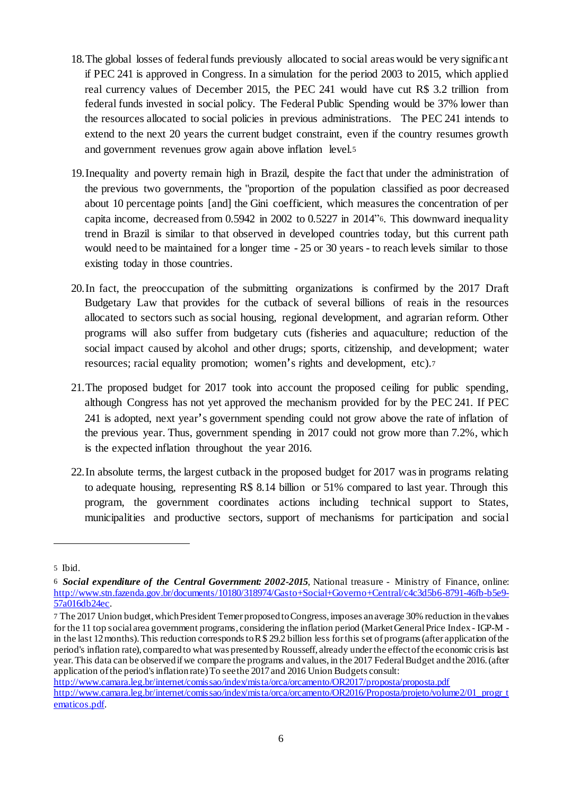- 18.The global losses of federalfunds previously allocated to social areas would be very significant if PEC 241 is approved in Congress. In a simulation for the period 2003 to 2015, which applied real currency values of December 2015, the PEC 241 would have cut R\$ 3.2 trillion from federal funds invested in social policy. The Federal Public Spending would be 37% lower than the resources allocated to social policies in previous administrations. The PEC 241 intends to extend to the next 20 years the current budget constraint, even if the country resumes growth and government revenues grow again above inflation level.<sup>5</sup>
- 19.Inequality and poverty remain high in Brazil, despite the fact that under the administration of the previous two governments, the "proportion of the population classified as poor decreased about 10 percentage points [and] the Gini coefficient, which measures the concentration of per capita income, decreased from 0.5942 in 2002 to 0.5227 in 2014"6. This downward inequality trend in Brazil is similar to that observed in developed countries today, but this current path would need to be maintained for a longer time - 25 or 30 years - to reach levels similar to those existing today in those countries.
- 20.In fact, the preoccupation of the submitting organizations is confirmed by the 2017 Draft Budgetary Law that provides for the cutback of several billions of reais in the resources allocated to sectors such as social housing, regional development, and agrarian reform. Other programs will also suffer from budgetary cuts (fisheries and aquaculture; reduction of the social impact caused by alcohol and other drugs; sports, citizenship, and development; water resources; racial equality promotion; women's rights and development, etc).<sup>7</sup>
- 21.The proposed budget for 2017 took into account the proposed ceiling for public spending, although Congress has not yet approved the mechanism provided for by the PEC 241. If PEC 241 is adopted, next year's government spending could not grow above the rate of inflation of the previous year. Thus, government spending in 2017 could not grow more than 7.2%, which is the expected inflation throughout the year 2016.
- 22.In absolute terms, the largest cutback in the proposed budget for 2017 wasin programs relating to adequate housing, representing R\$ 8.14 billion or 51% compared to last year. Through this program, the government coordinates actions including technical support to States, municipalities and productive sectors, support of mechanisms for participation and social

<sup>5</sup> Ibid.

<sup>6</sup> *Social expenditure of the Central Government: 2002-2015*, National treasure - Ministry of Finance, online: http://www.stn.fazenda.gov.br/documents/10180/318974/Gasto+Social+Governo+Central/c4c3d5b6-8791-46fb-b5e9- 57a016db24ec.

<sup>7</sup> The 2017 Union budget, which President Temer proposed to Congress, imposes an average 30% reduction in the values for the 11 top social area government programs, considering the inflation period (MarketGeneralPrice Index- IGP-M in the last 12 months). This reduction corresponds to  $R$  \$ 29.2 billion less for this set of programs (after application of the period's inflation rate), comparedto what was presentedby Rousseff, already underthe effectofthe economic crisis last year.This data can be observedifwe compare the programs andvalues, in the 2017 FederalBudget andthe 2016.(after application of the period's inflation rate) To see the 2017 and 2016 Union Budgets consult:

http://www.camara.leg.br/internet/comissao/index/mista/orca/orcamento/OR2017/proposta/proposta.pdf http://www.camara.leg.br/internet/comissao/index/mista/orca/orcamento/OR2016/Proposta/projeto/volume2/01\_progr\_t ematicos.pdf.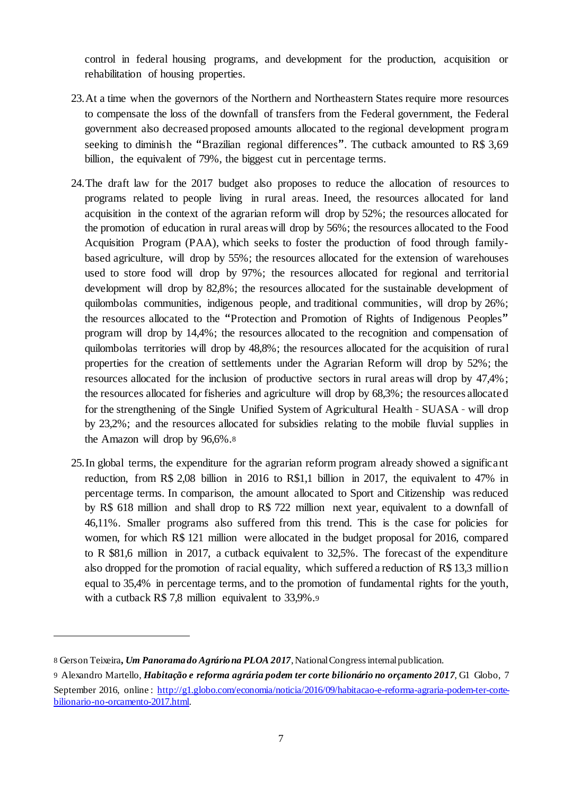control in federal housing programs, and development for the production, acquisition or rehabilitation of housing properties.

- 23.At a time when the governors of the Northern and Northeastern States require more resources to compensate the loss of the downfall of transfers from the Federal government, the Federal government also decreased proposed amounts allocated to the regional development program seeking to diminish the "Brazilian regional differences". The cutback amounted to R\$ 3.69 billion, the equivalent of 79%, the biggest cut in percentage terms.
- 24.The draft law for the 2017 budget also proposes to reduce the allocation of resources to programs related to people living in rural areas. Ineed, the resources allocated for land acquisition in the context of the agrarian reform will drop by 52%; the resources allocated for the promotion of education in rural areas will drop by 56%; the resources allocated to the Food Acquisition Program (PAA), which seeks to foster the production of food through familybased agriculture, will drop by 55%; the resources allocated for the extension of warehouses used to store food will drop by 97%; the resources allocated for regional and territorial development will drop by 82,8%; the resources allocated for the sustainable development of quilombolas communities, indigenous people, and traditional communities, will drop by 26%; the resources allocated to the "Protection and Promotion of Rights of Indigenous Peoples" program will drop by 14,4%; the resources allocated to the recognition and compensation of quilombolas territories will drop by 48,8%; the resources allocated for the acquisition of rural properties for the creation of settlements under the Agrarian Reform will drop by 52%; the resources allocated for the inclusion of productive sectors in rural areas will drop by 47,4%; the resources allocated for fisheries and agriculture will drop by 68,3%; the resources allocated for the strengthening of the Single Unified System of Agricultural Health – SUASA – will drop by 23,2%; and the resources allocated for subsidies relating to the mobile fluvial supplies in the Amazon will drop by 96,6%.<sup>8</sup>
- 25.In global terms, the expenditure for the agrarian reform program already showed a significant reduction, from R\$ 2,08 billion in 2016 to R\$1,1 billion in 2017, the equivalent to 47% in percentage terms. In comparison, the amount allocated to Sport and Citizenship was reduced by R\$ 618 million and shall drop to R\$ 722 million next year, equivalent to a downfall of 46,11%. Smaller programs also suffered from this trend. This is the case for policies for women, for which R\$ 121 million were allocated in the budget proposal for 2016, compared to R \$81,6 million in 2017, a cutback equivalent to 32,5%. The forecast of the expenditure also dropped for the promotion of racial equality, which suffered a reduction of R\$ 13,3 million equal to 35,4% in percentage terms, and to the promotion of fundamental rights for the youth, with a cutback R\$ 7,8 million equivalent to 33,9%.<sup>9</sup>

<sup>8</sup> Gerson Teixeira**,** *Um Panorama do Agráriona PLOA 2017*,NationalCongressinternalpublication.

<sup>9</sup> Alexandro Martello, *Habitação e reforma agrária podem ter corte bilionário no orçamento 2017*, G1 Globo, 7 September 2016, online : http://g1.globo.com/economia/noticia/2016/09/habitacao-e-reforma-agraria-podem-ter-cortebilionario-no-orcamento-2017.html.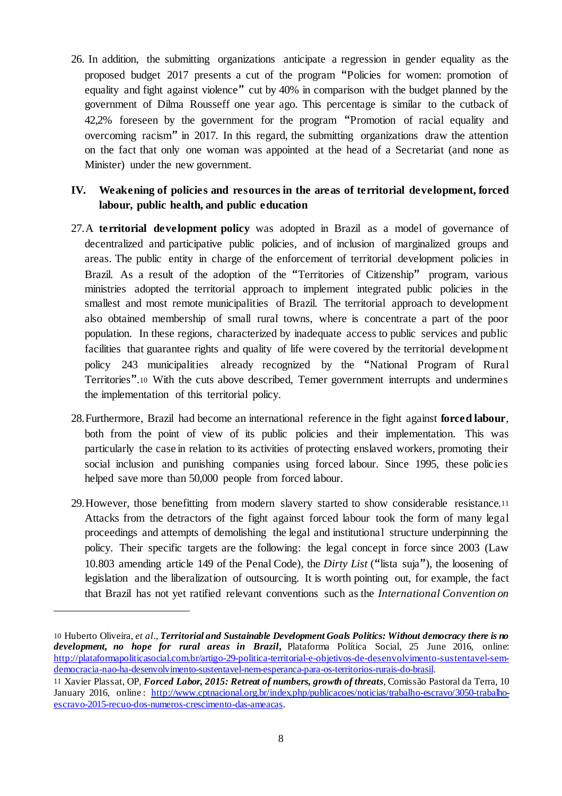26. In addition, the submitting organizations anticipate a regression in gender equality as the proposed budget 2017 presents a cut of the program "Policies for women: promotion of equality and fight against violence" cut by 40% in comparison with the budget planned by the government of Dilma Rousseff one year ago. This percentage is similar to the cutback of 42,2% foreseen by the government for the program "Promotion of racial equality and overcoming racism" in 2017. In this regard, the submitting organizations draw the attention on the fact that only one woman was appointed at the head of a Secretariat (and none as Minister) under the new government.

## **IV. Weakening of policies and resources in the areas of territorial development, forced labour, public health, and public education**

- 27.A **territorial development policy** was adopted in Brazil as a model of governance of decentralized and participative public policies, and of inclusion of marginalized groups and areas. The public entity in charge of the enforcement of territorial development policies in Brazil. As a result of the adoption of the "Territories of Citizenship" program, various ministries adopted the territorial approach to implement integrated public policies in the smallest and most remote municipalities of Brazil. The territorial approach to development also obtained membership of small rural towns, where is concentrate a part of the poor population. In these regions, characterized by inadequate access to public services and public facilities that guarantee rights and quality of life were covered by the territorial development policy 243 municipalities already recognized by the "National Program of Rural Territories".<sup>10</sup> With the cuts above described, Temer government interrupts and undermines the implementation of this territorial policy.
- 28.Furthermore, Brazil had become an international reference in the fight against **forced labour**, both from the point of view of its public policies and their implementation. This was particularly the case in relation to its activities of protecting enslaved workers, promoting their social inclusion and punishing companies using forced labour. Since 1995, these policies helped save more than 50,000 people from forced labour.
- 29.However, those benefitting from modern slavery started to show considerable resistance.<sup>11</sup> Attacks from the detractors of the fight against forced labour took the form of many legal proceedings and attempts of demolishing the legal and institutional structure underpinning the policy. Their specific targets are the following: the legal concept in force since 2003 (Law 10.803 amending article 149 of the Penal Code), the *Dirty List* ("lista suja"), the loosening of legislation and the liberalization of outsourcing. It is worth pointing out, for example, the fact that Brazil has not yet ratified relevant conventions such as the *International Convention on*

<sup>10</sup> Huberto Oliveira, *et al*.*, Territorial and Sustainable Development Goals Politics: Without democracy there is no development, no hope for rural areas in Brazil***,** Plataforma Política Social, 25 June 2016, online: http://plataformapoliticasocial.com.br/artigo-29-politica-territorial-e-objetivos-de-desenvolvimento-sustentavel-semdemocracia-nao-ha-desenvolvimento-sustentavel-nem-esperanca-para-os-territorios-rurais-do-brasil.

<sup>11</sup> Xavier Plassat, OP, *Forced Labor, 2015: Retreat of numbers, growth of threats*, Comissão Pastoral da Terra, 10 January 2016, online : http://www.cptnacional.org.br/index.php/publicacoes/noticias/trabalho-escravo/3050-trabalhoescravo-2015-recuo-dos-numeros-crescimento-das-ameacas.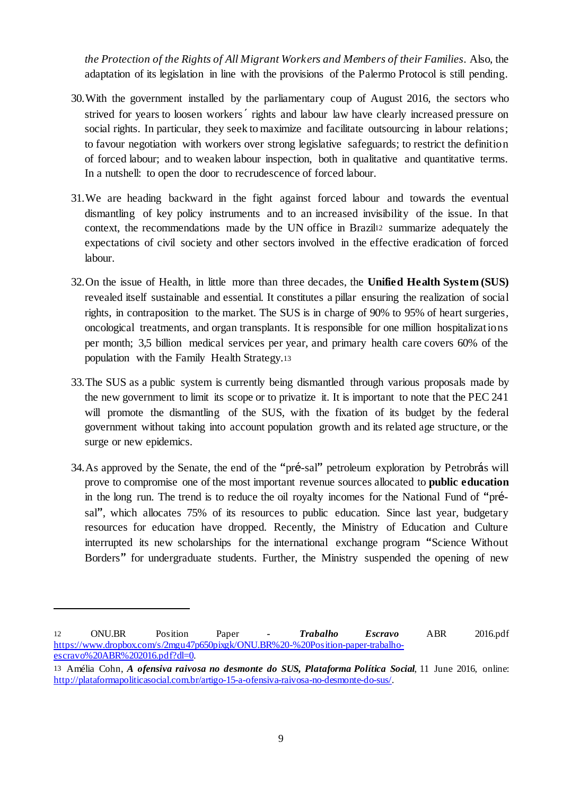*the Protection of the Rights of All Migrant Workers and Members of their Families*. Also, the adaptation of its legislation in line with the provisions of the Palermo Protocol is still pending.

- 30.With the government installed by the parliamentary coup of August 2016, the sectors who strived for years to loosen workers´ rights and labour law have clearly increased pressure on social rights. In particular, they seek to maximize and facilitate outsourcing in labour relations; to favour negotiation with workers over strong legislative safeguards; to restrict the definition of forced labour; and to weaken labour inspection, both in qualitative and quantitative terms. In a nutshell: to open the door to recrudescence of forced labour.
- 31.We are heading backward in the fight against forced labour and towards the eventual dismantling of key policy instruments and to an increased invisibility of the issue. In that context, the recommendations made by the UN office in Brazil<sup>12</sup> summarize adequately the expectations of civil society and other sectors involved in the effective eradication of forced labour.
- 32.On the issue of Health, in little more than three decades, the **Unified Health System (SUS)** revealed itself sustainable and essential. It constitutes a pillar ensuring the realization of social rights, in contraposition to the market. The SUS is in charge of 90% to 95% of heart surgeries, oncological treatments, and organ transplants. It is responsible for one million hospitalizations per month; 3,5 billion medical services per year, and primary health care covers 60% of the population with the Family Health Strategy.<sup>13</sup>
- 33.The SUS as a public system is currently being dismantled through various proposals made by the new government to limit its scope or to privatize it. It is important to note that the PEC 241 will promote the dismantling of the SUS, with the fixation of its budget by the federal government without taking into account population growth and its related age structure, or the surge or new epidemics.
- 34.As approved by the Senate, the end of the "pré-sal" petroleum exploration by Petrobrás will prove to compromise one of the most important revenue sources allocated to **public education** in the long run. The trend is to reduce the oil royalty incomes for the National Fund of "présal", which allocates 75% of its resources to public education. Since last year, budgetary resources for education have dropped. Recently, the Ministry of Education and Culture interrupted its new scholarships for the international exchange program "Science Without Borders" for undergraduate students. Further, the Ministry suspended the opening of new

<sup>12</sup> ONU.BR Position Paper *- Trabalho Escravo* ABR 2016.pdf https://www.dropbox.com/s/2mgu47p650pixgk/ONU.BR%20-%20Position-paper-trabalhoescravo%20ABR%202016.pdf?dl=0.

<sup>13</sup> Amélia Cohn, *A ofensiva raivosa no desmonte do SUS, Plataforma Política Social*, 11 June 2016, online: http://plataformapoliticasocial.com.br/artigo-15-a-ofensiva-raivosa-no-desmonte-do-sus/.